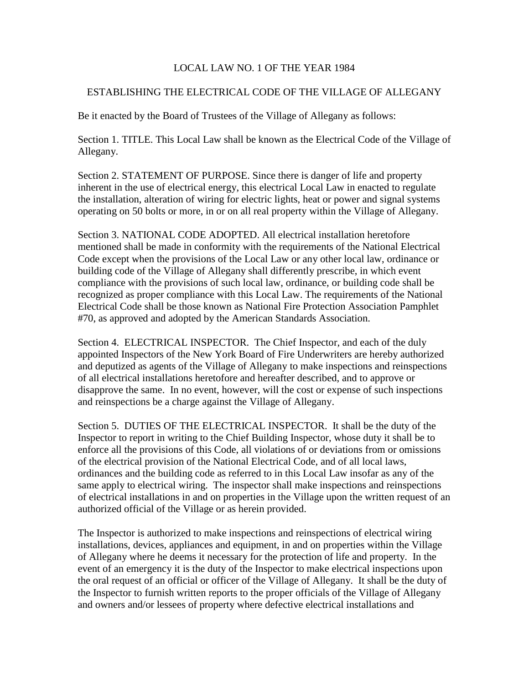## LOCAL LAW NO. 1 OF THE YEAR 1984

## ESTABLISHING THE ELECTRICAL CODE OF THE VILLAGE OF ALLEGANY

Be it enacted by the Board of Trustees of the Village of Allegany as follows:

Section 1. TITLE. This Local Law shall be known as the Electrical Code of the Village of Allegany.

Section 2. STATEMENT OF PURPOSE. Since there is danger of life and property inherent in the use of electrical energy, this electrical Local Law in enacted to regulate the installation, alteration of wiring for electric lights, heat or power and signal systems operating on 50 bolts or more, in or on all real property within the Village of Allegany.

Section 3. NATIONAL CODE ADOPTED. All electrical installation heretofore mentioned shall be made in conformity with the requirements of the National Electrical Code except when the provisions of the Local Law or any other local law, ordinance or building code of the Village of Allegany shall differently prescribe, in which event compliance with the provisions of such local law, ordinance, or building code shall be recognized as proper compliance with this Local Law. The requirements of the National Electrical Code shall be those known as National Fire Protection Association Pamphlet #70, as approved and adopted by the American Standards Association.

Section 4. ELECTRICAL INSPECTOR. The Chief Inspector, and each of the duly appointed Inspectors of the New York Board of Fire Underwriters are hereby authorized and deputized as agents of the Village of Allegany to make inspections and reinspections of all electrical installations heretofore and hereafter described, and to approve or disapprove the same. In no event, however, will the cost or expense of such inspections and reinspections be a charge against the Village of Allegany.

Section 5. DUTIES OF THE ELECTRICAL INSPECTOR. It shall be the duty of the Inspector to report in writing to the Chief Building Inspector, whose duty it shall be to enforce all the provisions of this Code, all violations of or deviations from or omissions of the electrical provision of the National Electrical Code, and of all local laws, ordinances and the building code as referred to in this Local Law insofar as any of the same apply to electrical wiring. The inspector shall make inspections and reinspections of electrical installations in and on properties in the Village upon the written request of an authorized official of the Village or as herein provided.

The Inspector is authorized to make inspections and reinspections of electrical wiring installations, devices, appliances and equipment, in and on properties within the Village of Allegany where he deems it necessary for the protection of life and property. In the event of an emergency it is the duty of the Inspector to make electrical inspections upon the oral request of an official or officer of the Village of Allegany. It shall be the duty of the Inspector to furnish written reports to the proper officials of the Village of Allegany and owners and/or lessees of property where defective electrical installations and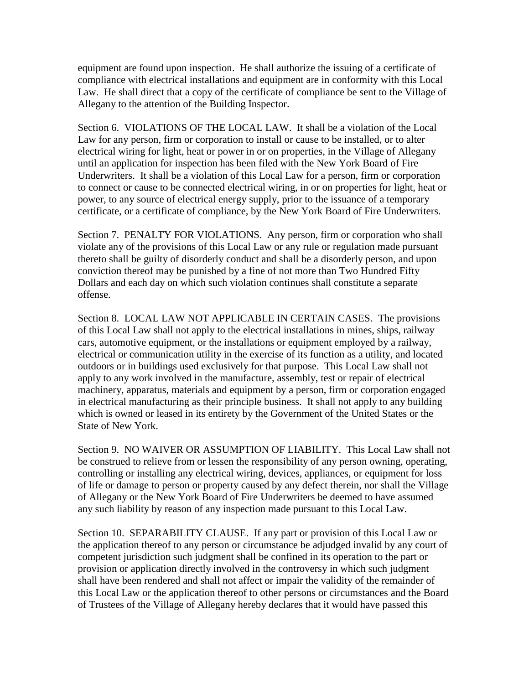equipment are found upon inspection. He shall authorize the issuing of a certificate of compliance with electrical installations and equipment are in conformity with this Local Law. He shall direct that a copy of the certificate of compliance be sent to the Village of Allegany to the attention of the Building Inspector.

Section 6. VIOLATIONS OF THE LOCAL LAW. It shall be a violation of the Local Law for any person, firm or corporation to install or cause to be installed, or to alter electrical wiring for light, heat or power in or on properties, in the Village of Allegany until an application for inspection has been filed with the New York Board of Fire Underwriters. It shall be a violation of this Local Law for a person, firm or corporation to connect or cause to be connected electrical wiring, in or on properties for light, heat or power, to any source of electrical energy supply, prior to the issuance of a temporary certificate, or a certificate of compliance, by the New York Board of Fire Underwriters.

Section 7. PENALTY FOR VIOLATIONS. Any person, firm or corporation who shall violate any of the provisions of this Local Law or any rule or regulation made pursuant thereto shall be guilty of disorderly conduct and shall be a disorderly person, and upon conviction thereof may be punished by a fine of not more than Two Hundred Fifty Dollars and each day on which such violation continues shall constitute a separate offense.

Section 8. LOCAL LAW NOT APPLICABLE IN CERTAIN CASES. The provisions of this Local Law shall not apply to the electrical installations in mines, ships, railway cars, automotive equipment, or the installations or equipment employed by a railway, electrical or communication utility in the exercise of its function as a utility, and located outdoors or in buildings used exclusively for that purpose. This Local Law shall not apply to any work involved in the manufacture, assembly, test or repair of electrical machinery, apparatus, materials and equipment by a person, firm or corporation engaged in electrical manufacturing as their principle business. It shall not apply to any building which is owned or leased in its entirety by the Government of the United States or the State of New York.

Section 9. NO WAIVER OR ASSUMPTION OF LIABILITY. This Local Law shall not be construed to relieve from or lessen the responsibility of any person owning, operating, controlling or installing any electrical wiring, devices, appliances, or equipment for loss of life or damage to person or property caused by any defect therein, nor shall the Village of Allegany or the New York Board of Fire Underwriters be deemed to have assumed any such liability by reason of any inspection made pursuant to this Local Law.

Section 10. SEPARABILITY CLAUSE. If any part or provision of this Local Law or the application thereof to any person or circumstance be adjudged invalid by any court of competent jurisdiction such judgment shall be confined in its operation to the part or provision or application directly involved in the controversy in which such judgment shall have been rendered and shall not affect or impair the validity of the remainder of this Local Law or the application thereof to other persons or circumstances and the Board of Trustees of the Village of Allegany hereby declares that it would have passed this